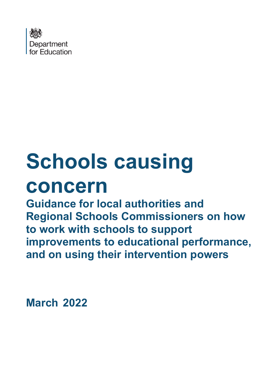

# **Schools causing concern**

**Guidance for local authorities and Regional Schools Commissioners on how to work with schools to support improvements to educational performance, and on using their intervention powers**

**March 2022**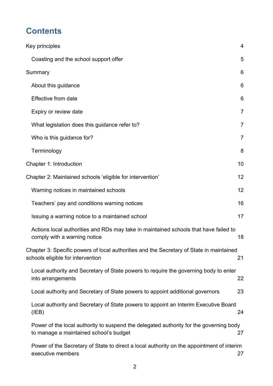# **Contents**

| Key principles                                                                                                                   | $\overline{4}$ |
|----------------------------------------------------------------------------------------------------------------------------------|----------------|
| Coasting and the school support offer                                                                                            | 5              |
| Summary                                                                                                                          | 6              |
| About this guidance                                                                                                              | 6              |
| Effective from date                                                                                                              | 6              |
| Expiry or review date                                                                                                            | $\overline{7}$ |
| What legislation does this guidance refer to?                                                                                    | 7              |
| Who is this guidance for?                                                                                                        | $\overline{7}$ |
| Terminology                                                                                                                      | 8              |
| Chapter 1: Introduction                                                                                                          | 10             |
| Chapter 2: Maintained schools 'eligible for intervention'                                                                        | 12             |
| Warning notices in maintained schools                                                                                            | 12             |
| Teachers' pay and conditions warning notices                                                                                     | 16             |
| Issuing a warning notice to a maintained school                                                                                  | 17             |
| Actions local authorities and RDs may take in maintained schools that have failed to<br>comply with a warning notice             | 18             |
| Chapter 3: Specific powers of local authorities and the Secretary of State in maintained<br>schools eligible for intervention    | 21             |
| Local authority and Secretary of State powers to require the governing body to enter<br>into arrangements                        | 22             |
| Local authority and Secretary of State powers to appoint additional governors                                                    | 23             |
| Local authority and Secretary of State powers to appoint an Interim Executive Board<br>(IEB)                                     | 24             |
| Power of the local authority to suspend the delegated authority for the governing body<br>to manage a maintained school's budget | 27             |
| Power of the Secretary of State to direct a local authority on the appointment of interim<br>executive members                   | 27             |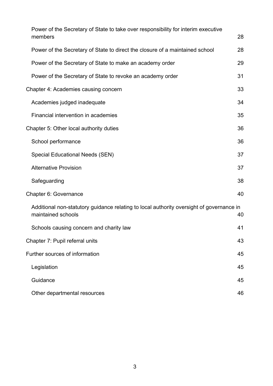| Power of the Secretary of State to take over responsibility for interim executive                              |    |
|----------------------------------------------------------------------------------------------------------------|----|
| members                                                                                                        | 28 |
| Power of the Secretary of State to direct the closure of a maintained school                                   | 28 |
| Power of the Secretary of State to make an academy order                                                       | 29 |
| Power of the Secretary of State to revoke an academy order                                                     | 31 |
| Chapter 4: Academies causing concern                                                                           | 33 |
| Academies judged inadequate                                                                                    | 34 |
| Financial intervention in academies                                                                            | 35 |
| Chapter 5: Other local authority duties                                                                        | 36 |
| School performance                                                                                             | 36 |
| <b>Special Educational Needs (SEN)</b>                                                                         | 37 |
| <b>Alternative Provision</b>                                                                                   | 37 |
| Safeguarding                                                                                                   | 38 |
| Chapter 6: Governance                                                                                          | 40 |
| Additional non-statutory guidance relating to local authority oversight of governance in<br>maintained schools | 40 |
| Schools causing concern and charity law                                                                        | 41 |
| Chapter 7: Pupil referral units                                                                                | 43 |
| Further sources of information                                                                                 | 45 |
| Legislation                                                                                                    | 45 |
| Guidance                                                                                                       | 45 |
| Other departmental resources                                                                                   | 46 |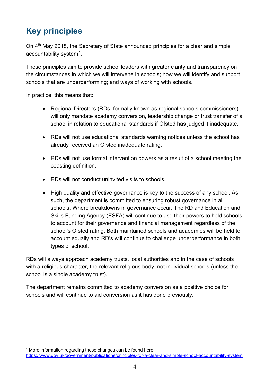# <span id="page-3-0"></span>**Key principles**

On 4<sup>th</sup> May 2018, the Secretary of State announced principles for a clear and simple accountability system<sup>1</sup>.

These principles aim to provide school leaders with greater clarity and transparency on the circumstances in which we will intervene in schools; how we will identify and support schools that are underperforming; and ways of working with schools.

In practice, this means that:

- Regional Directors (RDs, formally known as regional schools commissioners) will only mandate academy conversion, leadership change or trust transfer of a school in relation to educational standards if Ofsted has judged it inadequate.
- RDs will not use educational standards warning notices unless the school has already received an Ofsted inadequate rating.
- RDs will not use formal intervention powers as a result of a school meeting the coasting definition.
- RDs will not conduct uninvited visits to schools.
- High quality and effective governance is key to the success of any school. As such, the department is committed to ensuring robust governance in all schools. Where breakdowns in governance occur, The RD and Education and Skills Funding Agency (ESFA) will continue to use their powers to hold schools to account for their governance and financial management regardless of the school's Ofsted rating. Both maintained schools and academies will be held to account equally and RD's will continue to challenge underperformance in both types of school.

RDs will always approach academy trusts, local authorities and in the case of schools with a religious character, the relevant religious body, not individual schools (unless the school is a single academy trust).

The department remains committed to academy conversion as a positive choice for schools and will continue to aid conversion as it has done previously.

<span id="page-3-1"></span> $1$  More information regarding these changes can be found here:

<https://www.gov.uk/government/publications/principles-for-a-clear-and-simple-school-accountability-system>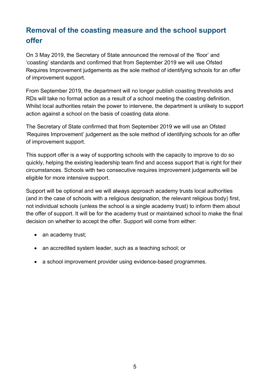# <span id="page-4-0"></span>**Removal of the coasting measure and the school support offer**

On 3 May 2019, the Secretary of State announced the removal of the 'floor' and 'coasting' standards and confirmed that from September 2019 we will use Ofsted Requires Improvement judgements as the sole method of identifying schools for an offer of improvement support.

From September 2019, the department will no longer publish coasting thresholds and RDs will take no formal action as a result of a school meeting the coasting definition. Whilst local authorities retain the power to intervene, the department is unlikely to support action against a school on the basis of coasting data alone.

The Secretary of State confirmed that from September 2019 we will use an Ofsted 'Requires Improvement' judgement as the sole method of identifying schools for an offer of improvement support.

This support offer is a way of supporting schools with the capacity to improve to do so quickly, helping the existing leadership team find and access support that is right for their circumstances. Schools with two consecutive requires improvement judgements will be eligible for more intensive support.

Support will be optional and we will always approach academy trusts local authorities (and in the case of schools with a religious designation, the relevant religious body) first, not individual schools (unless the school is a single academy trust) to inform them about the offer of support. It will be for the academy trust or maintained school to make the final decision on whether to accept the offer. Support will come from either:

- an academy trust;
- an accredited system leader, such as a teaching school; or
- a school improvement provider using evidence-based programmes.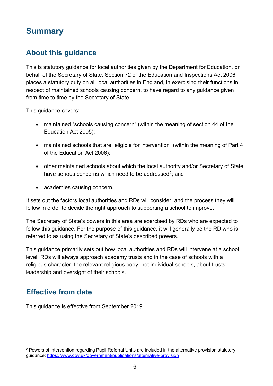# <span id="page-5-0"></span>**Summary**

# <span id="page-5-1"></span>**About this guidance**

This is statutory guidance for local authorities given by the Department for Education, on behalf of the Secretary of State. Section 72 of the Education and Inspections Act 2006 places a statutory duty on all local authorities in England, in exercising their functions in respect of maintained schools causing concern, to have regard to any guidance given from time to time by the Secretary of State.

This guidance covers:

- maintained "schools causing concern" (within the meaning of section 44 of the Education Act 2005);
- maintained schools that are "eligible for intervention" (within the meaning of Part 4 of the Education Act 2006);
- other maintained schools about which the local authority and/or Secretary of State have serious concerns which need to be addressed<sup>[2](#page-5-3)</sup>; and
- academies causing concern.

It sets out the factors local authorities and RDs will consider, and the process they will follow in order to decide the right approach to supporting a school to improve.

The Secretary of State's powers in this area are exercised by RDs who are expected to follow this guidance. For the purpose of this guidance, it will generally be the RD who is referred to as using the Secretary of State's described powers.

This guidance primarily sets out how local authorities and RDs will intervene at a school level. RDs will always approach academy trusts and in the case of schools with a religious character, the relevant religious body, not individual schools, about trusts' leadership and oversight of their schools.

# <span id="page-5-2"></span>**Effective from date**

This guidance is effective from September 2019.

<span id="page-5-3"></span><sup>&</sup>lt;sup>2</sup> Powers of intervention regarding Pupil Referral Units are included in the alternative provision statutory guidance:<https://www.gov.uk/government/publications/alternative-provision>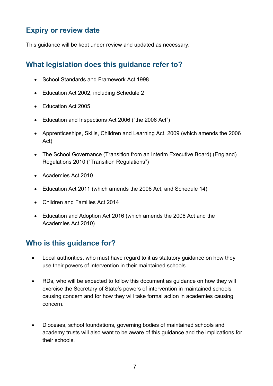### <span id="page-6-0"></span>**Expiry or review date**

This guidance will be kept under review and updated as necessary.

### <span id="page-6-1"></span>**What legislation does this guidance refer to?**

- School Standards and Framework Act 1998
- Education Act 2002, including Schedule 2
- Education Act 2005
- Education and Inspections Act 2006 ("the 2006 Act")
- Apprenticeships, Skills, Children and Learning Act, 2009 (which amends the 2006 Act)
- The School Governance (Transition from an Interim Executive Board) (England) Regulations 2010 ("Transition Regulations")
- Academies Act 2010
- Education Act 2011 (which amends the 2006 Act, and Schedule 14)
- Children and Families Act 2014
- Education and Adoption Act 2016 (which amends the 2006 Act and the Academies Act 2010)

### <span id="page-6-2"></span>**Who is this guidance for?**

- Local authorities, who must have regard to it as statutory guidance on how they use their powers of intervention in their maintained schools.
- RDs, who will be expected to follow this document as guidance on how they will exercise the Secretary of State's powers of intervention in maintained schools causing concern and for how they will take formal action in academies causing concern.
- Dioceses, school foundations, governing bodies of maintained schools and academy trusts will also want to be aware of this guidance and the implications for their schools.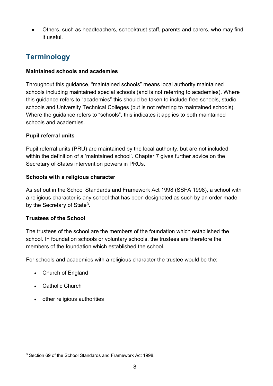• Others, such as headteachers, school/trust staff, parents and carers, who may find it useful.

# <span id="page-7-0"></span>**Terminology**

#### **Maintained schools and academies**

Throughout this guidance, "maintained schools" means local authority maintained schools including maintained special schools (and is not referring to academies). Where this guidance refers to "academies" this should be taken to include free schools, studio schools and University Technical Colleges (but is not referring to maintained schools). Where the guidance refers to "schools", this indicates it applies to both maintained schools and academies.

#### **Pupil referral units**

Pupil referral units (PRU) are maintained by the local authority, but are not included within the definition of a 'maintained school'. Chapter 7 gives further advice on the Secretary of States intervention powers in PRUs.

#### **Schools with a religious character**

As set out in the School Standards and Framework Act 1998 (SSFA 1998), a school with a religious character is any school that has been designated as such by an order made by the Secretary of State<sup>3</sup>.

#### **Trustees of the School**

The trustees of the school are the members of the foundation which established the school. In foundation schools or voluntary schools, the trustees are therefore the members of the foundation which established the school.

For schools and academies with a religious character the trustee would be the:

- Church of England
- Catholic Church
- other religious authorities

<span id="page-7-1"></span><sup>3</sup> Section 69 of the School Standards and Framework Act 1998.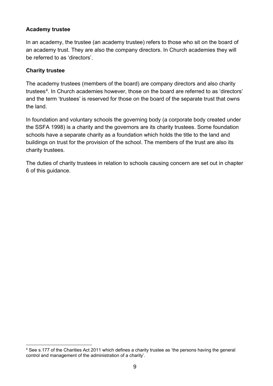#### **Academy trustee**

In an academy, the trustee (an academy trustee) refers to those who sit on the board of an academy trust. They are also the company directors. In Church academies they will be referred to as 'directors'.

#### **Charity trustee**

The academy trustees (members of the board) are company directors and also charity trustees<sup>[4](#page-8-0)</sup>. In Church academies however, those on the board are referred to as 'directors' and the term 'trustees' is reserved for those on the board of the separate trust that owns the land.

In foundation and voluntary schools the governing body (a corporate body created under the SSFA 1998) is a charity and the governors are its charity trustees. Some foundation schools have a separate charity as a foundation which holds the title to the land and buildings on trust for the provision of the school. The members of the trust are also its charity trustees.

The duties of charity trustees in relation to schools causing concern are set out in chapter 6 of this guidance.

<span id="page-8-0"></span><sup>4</sup> See s.177 of the Charities Act 2011 which defines a charity trustee as 'the persons having the general control and management of the administration of a charity'.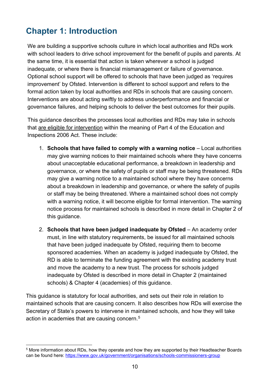# <span id="page-9-0"></span>**Chapter 1: Introduction**

We are building a supportive schools culture in which local authorities and RDs work with school leaders to drive school improvement for the benefit of pupils and parents. At the same time, it is essential that action is taken wherever a school is judged inadequate, or where there is financial mismanagement or failure of governance. Optional school support will be offered to schools that have been judged as 'requires improvement' by Ofsted. Intervention is different to school support and refers to the formal action taken by local authorities and RDs in schools that are causing concern. Interventions are about acting swiftly to address underperformance and financial or governance failures, and helping schools to deliver the best outcomes for their pupils.

This guidance describes the processes local authorities and RDs may take in schools that are eligible for intervention within the meaning of Part 4 of the Education and Inspections 2006 Act. These include:

- 1. **Schools that have failed to comply with a warning notice** Local authorities may give warning notices to their maintained schools where they have concerns about unacceptable educational performance, a breakdown in leadership and governance, or where the safety of pupils or staff may be being threatened. RDs may give a warning notice to a maintained school where they have concerns about a breakdown in leadership and governance, or where the safety of pupils or staff may be being threatened. Where a maintained school does not comply with a warning notice, it will become eligible for formal intervention. The warning notice process for maintained schools is described in more detail in Chapter 2 of this guidance.
- 2. **Schools that have been judged inadequate by Ofsted** An academy order must, in line with statutory requirements, be issued for all maintained schools that have been judged inadequate by Ofsted, requiring them to become sponsored academies. When an academy is judged inadequate by Ofsted, the RD is able to terminate the funding agreement with the existing academy trust and move the academy to a new trust. The process for schools judged inadequate by Ofsted is described in more detail in Chapter 2 (maintained schools) & Chapter 4 (academies) of this guidance.

This guidance is statutory for local authorities, and sets out their role in relation to maintained schools that are causing concern. It also describes how RDs will exercise the Secretary of State's powers to intervene in maintained schools, and how they will take action in academies that are causing concern.[5](#page-9-1) 

<span id="page-9-1"></span><sup>5</sup> More information about RDs, how they operate and how they are supported by their Headteacher Boards can be found here:<https://www.gov.uk/government/organisations/schools-commissioners-group>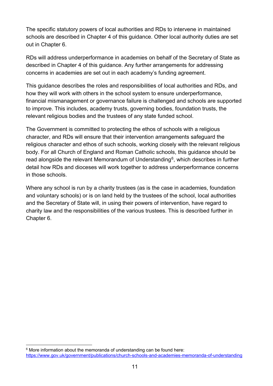The specific statutory powers of local authorities and RDs to intervene in maintained schools are described in Chapter 4 of this guidance. Other local authority duties are set out in Chapter 6.

RDs will address underperformance in academies on behalf of the Secretary of State as described in Chapter 4 of this guidance. Any further arrangements for addressing concerns in academies are set out in each academy's funding agreement.

This guidance describes the roles and responsibilities of local authorities and RDs, and how they will work with others in the school system to ensure underperformance, financial mismanagement or governance failure is challenged and schools are supported to improve. This includes, academy trusts, governing bodies, foundation trusts, the relevant religious bodies and the trustees of any state funded school.

The Government is committed to protecting the ethos of schools with a religious character, and RDs will ensure that their intervention arrangements safeguard the religious character and ethos of such schools, working closely with the relevant religious body. For all Church of England and Roman Catholic schools, this guidance should be read alongside the relevant Memorandum of Understanding<sup>[6](#page-10-0)</sup>, which describes in further detail how RDs and dioceses will work together to address underperformance concerns in those schools.

Where any school is run by a charity trustees (as is the case in academies, foundation and voluntary schools) or is on land held by the trustees of the school, local authorities and the Secretary of State will, in using their powers of intervention, have regard to charity law and the responsibilities of the various trustees. This is described further in Chapter 6.

<span id="page-10-0"></span> $6$  More information about the memoranda of understanding can be found here: <https://www.gov.uk/government/publications/church-schools-and-academies-memoranda-of-understanding>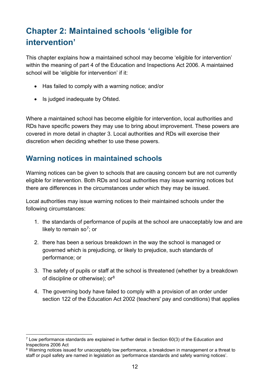# <span id="page-11-0"></span>**Chapter 2: Maintained schools 'eligible for intervention'**

This chapter explains how a maintained school may become 'eligible for intervention' within the meaning of part 4 of the Education and Inspections Act 2006. A maintained school will be 'eligible for intervention' if it:

- Has failed to comply with a warning notice; and/or
- Is judged inadequate by Ofsted.

Where a maintained school has become eligible for intervention, local authorities and RDs have specific powers they may use to bring about improvement. These powers are covered in more detail in chapter 3. Local authorities and RDs will exercise their discretion when deciding whether to use these powers.

# <span id="page-11-1"></span>**Warning notices in maintained schools**

Warning notices can be given to schools that are causing concern but are not currently eligible for intervention. Both RDs and local authorities may issue warning notices but there are differences in the circumstances under which they may be issued.

Local authorities may issue warning notices to their maintained schools under the following circumstances:

- 1. the standards of performance of pupils at the school are unacceptably low and are likely to remain so<sup>7</sup>; or
- 2. there has been a serious breakdown in the way the school is managed or governed which is prejudicing, or likely to prejudice, such standards of performance; or
- 3. The safety of pupils or staff at the school is threatened (whether by a breakdown of discipline or otherwise);  $or<sup>8</sup>$  $or<sup>8</sup>$  $or<sup>8</sup>$
- 4. The governing body have failed to comply with a provision of an order under section 122 of the Education Act 2002 (teachers' pay and conditions) that applies

<span id="page-11-2"></span> $7$  Low performance standards are explained in further detail in Section 60(3) of the Education and Inspections 2006 Act

<span id="page-11-3"></span><sup>&</sup>lt;sup>8</sup> Warning notices issued for unacceptably low performance, a breakdown in management or a threat to staff or pupil safety are named in legislation as 'performance standards and safety warning notices'.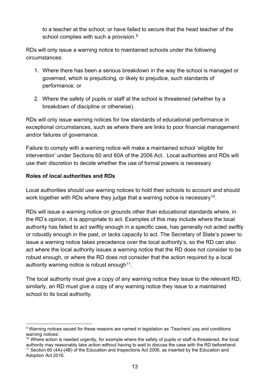to a teacher at the school; or have failed to secure that the head teacher of the school complies with such a provision.<sup>[9](#page-12-0)</sup>

RDs will only issue a warning notice to maintained schools under the following circumstances:

- 1. Where there has been a serious breakdown in the way the school is managed or governed, which is prejudicing, or likely to prejudice, such standards of performance; or
- 2. Where the safety of pupils or staff at the school is threatened (whether by a breakdown of discipline or otherwise).

RDs will only issue warning notices for low standards of educational performance in exceptional circumstances, such as where there are links to poor financial management and/or failures of governance.

Failure to comply with a warning notice will make a maintained school 'eligible for intervention' under Sections 60 and 60A of the 2006 Act. Local authorities and RDs will use their discretion to decide whether the use of formal powers is necessary.

#### **Roles of local authorities and RDs**

Local authorities should use warning notices to hold their schools to account and should work together with RDs where they judge that a warning notice is necessary<sup>10</sup>.

RDs will issue a warning notice on grounds other than educational standards where, in the RD's opinion, it is appropriate to act. Examples of this may include where the local authority has failed to act swiftly enough in a specific case, has generally not acted swiftly or robustly enough in the past, or lacks capacity to act. The Secretary of State's power to issue a warning notice takes precedence over the local authority's, so the RD can also act where the local authority issues a warning notice that the RD does not consider to be robust enough, or where the RD does not consider that the action required by a local authority warning notice is robust enough  $11$ .

The local authority must give a copy of any warning notice they issue to the relevant RD; similarly, an RD must give a copy of any warning notice they issue to a maintained school to its local authority.

<span id="page-12-0"></span><sup>&</sup>lt;sup>9</sup> Warning notices issued for these reasons are named in legislation as 'Teachers' pay and conditions warning notices'.

<span id="page-12-1"></span><sup>&</sup>lt;sup>10</sup> Where action is needed urgently, for example where the safety of pupils or staff is threatened, the local authority may reasonably take action without having to wait to discuss the case with the RD beforehand.

<span id="page-12-2"></span><sup>11</sup> Section 60 (4A)-(4B) of the Education and Inspections Act 2006, as inserted by the Education and Adoption Act 2016.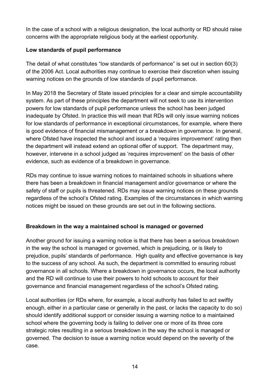In the case of a school with a religious designation, the local authority or RD should raise concerns with the appropriate religious body at the earliest opportunity.

#### **Low standards of pupil performance**

The detail of what constitutes "low standards of performance" is set out in section 60(3) of the 2006 Act. Local authorities may continue to exercise their discretion when issuing warning notices on the grounds of low standards of pupil performance.

In May 2018 the Secretary of State issued principles for a clear and simple accountability system. As part of these principles the department will not seek to use its intervention powers for low standards of pupil performance unless the school has been judged inadequate by Ofsted. In practice this will mean that RDs will only issue warning notices for low standards of performance in exceptional circumstances, for example, where there is good evidence of financial mismanagement or a breakdown in governance. In general, where Ofsted have inspected the school and issued a 'requires improvement' rating then the department will instead extend an optional offer of support. The department may, however, intervene in a school judged as 'requires improvement' on the basis of other evidence, such as evidence of a breakdown in governance.

RDs may continue to issue warning notices to maintained schools in situations where there has been a breakdown in financial management and/or governance or where the safety of staff or pupils is threatened. RDs may issue warning notices on these grounds regardless of the school's Ofsted rating. Examples of the circumstances in which warning notices might be issued on these grounds are set out in the following sections.

#### **Breakdown in the way a maintained school is managed or governed**

Another ground for issuing a warning notice is that there has been a serious breakdown in the way the school is managed or governed, which is prejudicing, or is likely to prejudice, pupils' standards of performance. High quality and effective governance is key to the success of any school. As such, the department is committed to ensuring robust governance in all schools. Where a breakdown in governance occurs, the local authority and the RD will continue to use their powers to hold schools to account for their governance and financial management regardless of the school's Ofsted rating.

Local authorities (or RDs where, for example, a local authority has failed to act swiftly enough, either in a particular case or generally in the past, or lacks the capacity to do so) should identify additional support or consider issuing a warning notice to a maintained school where the governing body is failing to deliver one or more of its three core strategic roles resulting in a serious breakdown in the way the school is managed or governed. The decision to issue a warning notice would depend on the severity of the case.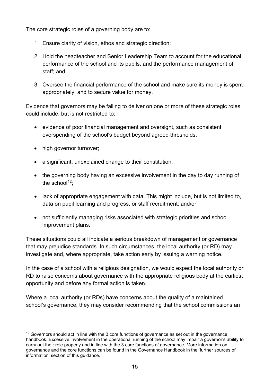The core strategic roles of a governing body are to:

- 1. Ensure clarity of vision, ethos and strategic direction;
- 2. Hold the headteacher and Senior Leadership Team to account for the educational performance of the school and its pupils, and the performance management of staff; and
- 3. Oversee the financial performance of the school and make sure its money is spent appropriately, and to secure value for money.

Evidence that governors may be failing to deliver on one or more of these strategic roles could include, but is not restricted to:

- evidence of poor financial management and oversight, such as consistent overspending of the school's budget beyond agreed thresholds.
- high governor turnover;
- a significant, unexplained change to their constitution;
- the governing body having an excessive involvement in the day to day running of the school $12$ :
- lack of appropriate engagement with data. This might include, but is not limited to, data on pupil learning and progress, or staff recruitment; and/or
- not sufficiently managing risks associated with strategic priorities and school improvement plans.

These situations could all indicate a serious breakdown of management or governance that may prejudice standards. In such circumstances, the local authority (or RD) may investigate and, where appropriate, take action early by issuing a warning notice.

In the case of a school with a religious designation, we would expect the local authority or RD to raise concerns about governance with the appropriate religious body at the earliest opportunity and before any formal action is taken.

Where a local authority (or RDs) have concerns about the quality of a maintained school's governance, they may consider recommending that the school commissions an

<span id="page-14-0"></span> $12$  Governors should act in line with the 3 core functions of governance as set out in the governance handbook. Excessive involvement in the operational running of the school may impair a governor's ability to carry out their role properly and in line with the 3 core functions of governance. More information on governance and the core functions can be found in the Governance Handbook in the 'further sources of information' section of this guidance.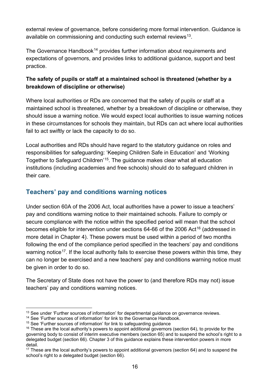external review of governance, before considering more formal intervention. Guidance is available on commissioning and conducting such external reviews<sup>[13](#page-15-1)</sup>.

The Governance Handbook<sup>[14](#page-15-2)</sup> provides further information about requirements and expectations of governors, and provides links to additional guidance, support and best practice.

#### **The safety of pupils or staff at a maintained school is threatened (whether by a breakdown of discipline or otherwise)**

Where local authorities or RDs are concerned that the safety of pupils or staff at a maintained school is threatened, whether by a breakdown of discipline or otherwise, they should issue a warning notice. We would expect local authorities to issue warning notices in these circumstances for schools they maintain, but RDs can act where local authorities fail to act swiftly or lack the capacity to do so.

Local authorities and RDs should have regard to the statutory guidance on roles and responsibilities for safeguarding: 'Keeping Children Safe in Education' and 'Working Together to Safeguard Children'[15.](#page-15-3) The guidance makes clear what all education institutions (including academies and free schools) should do to safeguard children in their care.

#### <span id="page-15-0"></span>**Teachers' pay and conditions warning notices**

Under section 60A of the 2006 Act, local authorities have a power to issue a teachers' pay and conditions warning notice to their maintained schools. Failure to comply or secure compliance with the notice within the specified period will mean that the school becomes eligible for intervention under sections 64-66 of the 2006 Act<sup>[16](#page-15-4)</sup> (addressed in more detail in Chapter 4). These powers must be used within a period of two months following the end of the compliance period specified in the teachers' pay and conditions warning notice<sup>[17](#page-15-5)</sup>. If the local authority fails to exercise these powers within this time, they can no longer be exercised and a new teachers' pay and conditions warning notice must be given in order to do so.

The Secretary of State does not have the power to (and therefore RDs may not) issue teachers' pay and conditions warning notices.

<span id="page-15-1"></span><sup>&</sup>lt;sup>13</sup> See under 'Further sources of information' for departmental guidance on governance reviews.

<span id="page-15-2"></span><sup>&</sup>lt;sup>14</sup> See 'Further sources of information' for link to the Governance Handbook.

<span id="page-15-3"></span><sup>&</sup>lt;sup>15</sup> See 'Further sources of information' for link to safeguarding guidance

<span id="page-15-4"></span> $16$  These are the local authority's powers to appoint additional governors (section 64), to provide for the governing body to consist of interim executive members (section 65) and to suspend the school's right to a delegated budget (section 66). Chapter 3 of this guidance explains these intervention powers in more detail.

<span id="page-15-5"></span><sup>&</sup>lt;sup>17</sup> These are the local authority's powers to appoint additional governors (section 64) and to suspend the school's right to a delegated budget (section 66).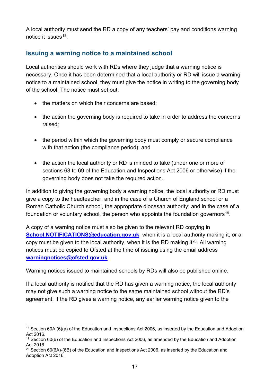A local authority must send the RD a copy of any teachers' pay and conditions warning notice it issues<sup>18</sup>.

#### <span id="page-16-0"></span>**Issuing a warning notice to a maintained school**

Local authorities should work with RDs where they judge that a warning notice is necessary. Once it has been determined that a local authority or RD will issue a warning notice to a maintained school, they must give the notice in writing to the governing body of the school. The notice must set out:

- the matters on which their concerns are based;
- the action the governing body is required to take in order to address the concerns raised;
- the period within which the governing body must comply or secure compliance with that action (the compliance period); and
- the action the local authority or RD is minded to take (under one or more of sections 63 to 69 of the Education and Inspections Act 2006 or otherwise) if the governing body does not take the required action.

In addition to giving the governing body a warning notice, the local authority or RD must give a copy to the headteacher; and in the case of a Church of England school or a Roman Catholic Church school, the appropriate diocesan authority; and in the case of a foundation or voluntary school, the person who appoints the foundation governors<sup>19</sup>.

A copy of a warning notice must also be given to the relevant RD copying in **[School.NOTIFICATIONS@education.gov.uk](mailto:School.NOTIFICATIONS@education.gov.uk)**, when it is a local authority making it, or a copy must be given to the local authority, when it is the RD making it<sup>20</sup>. All warning notices must be copied to Ofsted at the time of issuing using the email address **[warningnotices@ofsted.gov.uk](mailto:warningnotices@ofsted.gov.uk)**

Warning notices issued to maintained schools by RDs will also be published online.

If a local authority is notified that the RD has given a warning notice, the local authority may not give such a warning notice to the same maintained school without the RD's agreement. If the RD gives a warning notice, any earlier warning notice given to the

<span id="page-16-1"></span><sup>&</sup>lt;sup>18</sup> Section 60A (6)(a) of the Education and Inspections Act 2006, as inserted by the Education and Adoption Act 2016.

<span id="page-16-2"></span> $19$  Section 60(6) of the Education and Inspections Act 2006, as amended by the Education and Adoption Act 2016.

<span id="page-16-3"></span> $20$  Section 60(6A)-(6B) of the Education and Inspections Act 2006, as inserted by the Education and Adoption Act 2016.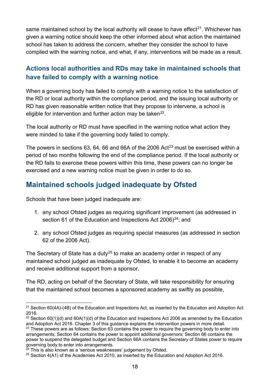same maintained school by the local authority will cease to have effect<sup>21</sup>. Whichever has given a warning notice should keep the other informed about what action the maintained school has taken to address the concern, whether they consider the school to have complied with the warning notice, and what, if any, interventions will be made as a result.

### <span id="page-17-0"></span>**Actions local authorities and RDs may take in maintained schools that have failed to comply with a warning notice**

When a governing body has failed to comply with a warning notice to the satisfaction of the RD or local authority within the compliance period, and the issuing local authority or RD has given reasonable written notice that they propose to intervene, a school is eligible for intervention and further action may be taken<sup>[22](#page-17-2)</sup>.

The local authority or RD must have specified in the warning notice what action they were minded to take if the governing body failed to comply.

The powers in sections 63, 64, 66 and 66A of the 2006 Act<sup>[23](#page-17-3)</sup> must be exercised within a period of two months following the end of the compliance period. If the local authority or the RD fails to exercise these powers within this time, these powers can no longer be exercised and a new warning notice must be given in order to do so.

# **Maintained schools judged inadequate by Ofsted**

Schools that have been judged inadequate are:

- 1. any school Ofsted judges as requiring significant improvement (as addressed in section 61 of the Education and Inspections Act 2006)<sup>24</sup>; and
- 2. any school Ofsted judges as requiring special measures (as addressed in section 62 of the 2006 Act).

The Secretary of State has a duty<sup>[25](#page-17-5)</sup> to make an academy order in respect of any maintained school judged as inadequate by Ofsted, to enable it to become an academy and receive additional support from a sponsor.

The RD, acting on behalf of the Secretary of State, will take responsibility for ensuring that the maintained school becomes a sponsored academy as swiftly as possible,

<span id="page-17-1"></span> $21$  Section 60(4A)-(4B) of the Education and Inspections Act, as inserted by the Education and Adoption Act 2016.

<span id="page-17-3"></span><span id="page-17-2"></span><sup>&</sup>lt;sup>22</sup> Section 60(1)(d) and 60A(1)(d) of the Education and Inspections Act 2006 as amended by the Education and Adoption Act 2016. Chapter 3 of this guidance explains the intervention powers in more detail.  $23$  These powers are as follows: Section 63 contains the power to require the governing body to enter into arrangements; Section 64 contains the power to appoint additional governors; Section 66 contains the power to suspend the delegated budget and Section 66A contains the Secretary of States power to require

<span id="page-17-4"></span> $\frac{a}{24}$  This is also known as a 'serious weaknesses' judgement by Ofsted.

<span id="page-17-5"></span> $25$  Section 4(A1) of the Academies Act 2010, as inserted by the Education and Adoption Act 2016.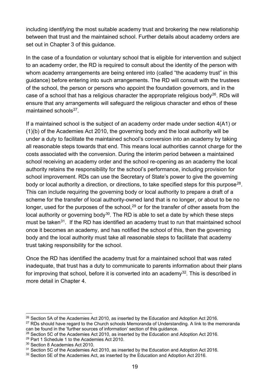including identifying the most suitable academy trust and brokering the new relationship between that trust and the maintained school. Further details about academy orders are set out in Chapter 3 of this guidance.

In the case of a foundation or voluntary school that is eligible for intervention and subject to an academy order, the RD is required to consult about the identity of the person with whom academy arrangements are being entered into (called "the academy trust" in this guidance) before entering into such arrangements. The RD will consult with the trustees of the school, the person or persons who appoint the foundation governors, and in the case of a school that has a religious character the appropriate religious body<sup>26</sup>. RDs will ensure that any arrangements will safeguard the religious character and ethos of these maintained schools $27$ .

If a maintained school is the subject of an academy order made under section 4(A1) or (1)(b) of the Academies Act 2010, the governing body and the local authority will be under a duty to facilitate the maintained school's conversion into an academy by taking all reasonable steps towards that end. This means local authorities cannot charge for the costs associated with the conversion. During the interim period between a maintained school receiving an academy order and the school re-opening as an academy the local authority retains the responsibility for the school's performance, including provision for school improvement. RDs can use the Secretary of State's power to give the governing body or local authority a direction, or directions, to take specified steps for this purpose<sup>28</sup>. This can include requiring the governing body or local authority to prepare a draft of a scheme for the transfer of local authority-owned land that is no longer, or about to be no longer, used for the purposes of the school,  $29$  or for the transfer of other assets from the local authority or governing body<sup>[30](#page-18-4)</sup>. The RD is able to set a date by which these steps must be taken<sup>[31](#page-18-5)</sup>. If the RD has identified an academy trust to run that maintained school once it becomes an academy, and has notified the school of this, then the governing body and the local authority must take all reasonable steps to facilitate that academy trust taking responsibility for the school.

Once the RD has identified the academy trust for a maintained school that was rated inadequate, that trust has a duty to communicate to parents information about their plans for improving that school, before it is converted into an academy<sup>[32](#page-18-6)</sup>. This is described in more detail in Chapter 4.

<span id="page-18-0"></span><sup>&</sup>lt;sup>26</sup> Section 5A of the Academies Act 2010, as inserted by the Education and Adoption Act 2016.

<span id="page-18-1"></span> $27$  RDs should have regard to the Church schools Memoranda of Understanding. A link to the memoranda can be found in the 'further sources of information' section of this guidance.

<span id="page-18-2"></span><sup>&</sup>lt;sup>28</sup> Section 5C of the Academies Act 2010, as inserted by the Education and Adoption Act 2016.

<span id="page-18-3"></span><sup>29</sup> Part 1 Schedule 1 to the Academies Act 2010.

<span id="page-18-4"></span><sup>30</sup> Section 8 Academies Act 2010.

<span id="page-18-5"></span><sup>&</sup>lt;sup>31</sup> Section 5C of the Academies Act 2010, as inserted by the Education and Adoption Act 2016.

<span id="page-18-6"></span><sup>&</sup>lt;sup>32</sup> Section 5E of the Academies Act, as inserted by the Education and Adoption Act 2016.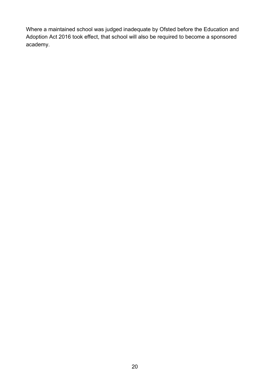Where a maintained school was judged inadequate by Ofsted before the Education and Adoption Act 2016 took effect, that school will also be required to become a sponsored academy.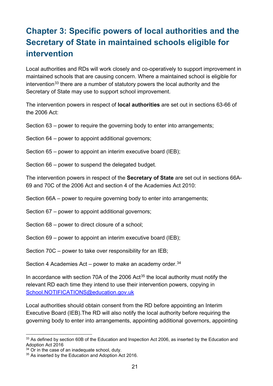# <span id="page-20-0"></span>**Chapter 3: Specific powers of local authorities and the Secretary of State in maintained schools eligible for intervention**

Local authorities and RDs will work closely and co-operatively to support improvement in maintained schools that are causing concern. Where a maintained school is eligible for intervention<sup>[33](#page-20-1)</sup> there are a number of statutory powers the local authority and the Secretary of State may use to support school improvement.

The intervention powers in respect of **local authorities** are set out in sections 63-66 of the 2006 Act:

Section 63 – power to require the governing body to enter into arrangements;

Section 64 – power to appoint additional governors;

Section 65 – power to appoint an interim executive board (IEB);

Section 66 – power to suspend the delegated budget.

The intervention powers in respect of the **Secretary of State** are set out in sections 66A-69 and 70C of the 2006 Act and section 4 of the Academies Act 2010:

Section 66A – power to require governing body to enter into arrangements;

Section 67 – power to appoint additional governors;

Section 68 – power to direct closure of a school;

Section 69 – power to appoint an interim executive board (IEB);

Section 70C – power to take over responsibility for an IEB;

Section 4 Academies Act – power to make an academy order. $34$ 

In accordance with section 70A of the 2006 Act<sup>[35](#page-20-3)</sup> the local authority must notify the relevant RD each time they intend to use their intervention powers, copying in [School.NOTIFICATIONS@education.gov.uk](mailto:School.NOTIFICATIONS@education.gov.uk)

Local authorities should obtain consent from the RD before appointing an Interim Executive Board (IEB).The RD will also notify the local authority before requiring the governing body to enter into arrangements, appointing additional governors, appointing

<span id="page-20-1"></span><sup>&</sup>lt;sup>33</sup> As defined by section 60B of the Education and Inspection Act 2006, as inserted by the Education and Adoption Act 2016

<span id="page-20-2"></span> $34$  Or in the case of an inadequate school, duty.

<span id="page-20-3"></span><sup>&</sup>lt;sup>35</sup> As inserted by the Education and Adoption Act 2016.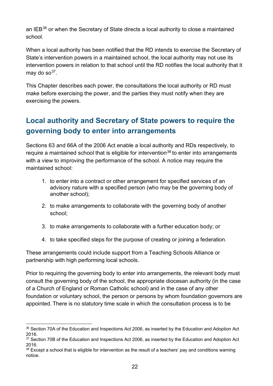an IEB $36$  or when the Secretary of State directs a local authority to close a maintained school.

When a local authority has been notified that the RD intends to exercise the Secretary of State's intervention powers in a maintained school, the local authority may not use its intervention powers in relation to that school until the RD notifies the local authority that it may do so $37$ .

This Chapter describes each power, the consultations the local authority or RD must make before exercising the power, and the parties they must notify when they are exercising the powers.

# <span id="page-21-0"></span>**Local authority and Secretary of State powers to require the governing body to enter into arrangements**

Sections 63 and 66A of the 2006 Act enable a local authority and RDs respectively, to require a maintained school that is eligible for intervention<sup>[38](#page-21-3)</sup> to enter into arrangements with a view to improving the performance of the school. A notice may require the maintained school:

- 1. to enter into a contract or other arrangement for specified services of an advisory nature with a specified person (who may be the governing body of another school);
- 2. to make arrangements to collaborate with the governing body of another school;
- 3. to make arrangements to collaborate with a further education body; or
- 4. to take specified steps for the purpose of creating or joining a federation.

These arrangements could include support from a Teaching Schools Alliance or partnership with high performing local schools.

Prior to requiring the governing body to enter into arrangements, the relevant body must consult the governing body of the school, the appropriate diocesan authority (in the case of a Church of England or Roman Catholic school) and in the case of any other foundation or voluntary school, the person or persons by whom foundation governors are appointed. There is no statutory time scale in which the consultation process is to be

<span id="page-21-1"></span><sup>&</sup>lt;sup>36</sup> Section 70A of the Education and Inspections Act 2006, as inserted by the Education and Adoption Act 2016.

<span id="page-21-2"></span><sup>&</sup>lt;sup>37</sup> Section 70B of the Education and Inspections Act 2006, as inserted by the Education and Adoption Act 2016.

<span id="page-21-3"></span> $38$  Except a school that is eligible for intervention as the result of a teachers' pay and conditions warning notice.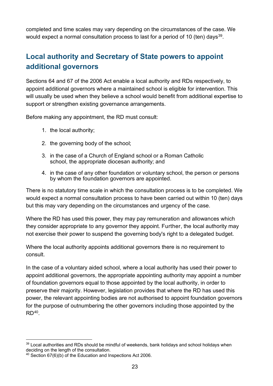completed and time scales may vary depending on the circumstances of the case. We would expect a normal consultation process to last for a period of 10 (ten) days<sup>39</sup>.

# <span id="page-22-0"></span>**Local authority and Secretary of State powers to appoint additional governors**

Sections 64 and 67 of the 2006 Act enable a local authority and RDs respectively, to appoint additional governors where a maintained school is eligible for intervention. This will usually be used when they believe a school would benefit from additional expertise to support or strengthen existing governance arrangements.

Before making any appointment, the RD must consult:

- 1. the local authority;
- 2. the governing body of the school;
- 3. in the case of a Church of England school or a Roman Catholic school, the appropriate diocesan authority; and
- 4. in the case of any other foundation or voluntary school, the person or persons by whom the foundation governors are appointed.

There is no statutory time scale in which the consultation process is to be completed. We would expect a normal consultation process to have been carried out within 10 (ten) days but this may vary depending on the circumstances and urgency of the case.

Where the RD has used this power, they may pay remuneration and allowances which they consider appropriate to any governor they appoint. Further, the local authority may not exercise their power to suspend the governing body's right to a delegated budget.

Where the local authority appoints additional governors there is no requirement to consult.

In the case of a voluntary aided school, where a local authority has used their power to appoint additional governors, the appropriate appointing authority may appoint a number of foundation governors equal to those appointed by the local authority, in order to preserve their majority. However, legislation provides that where the RD has used this power, the relevant appointing bodies are not authorised to appoint foundation governors for the purpose of outnumbering the other governors including those appointed by the  $RD<sup>40</sup>$  $RD<sup>40</sup>$  $RD<sup>40</sup>$ 

<span id="page-22-1"></span> $39$  Local authorities and RDs should be mindful of weekends, bank holidays and school holidays when deciding on the length of the consultation.

<span id="page-22-2"></span> $40$  Section 67(6)(b) of the Education and Inspections Act 2006.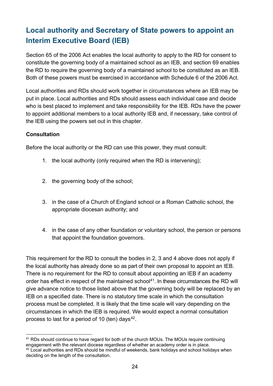# <span id="page-23-0"></span>**Local authority and Secretary of State powers to appoint an Interim Executive Board (IEB)**

Section 65 of the 2006 Act enables the local authority to apply to the RD for consent to constitute the governing body of a maintained school as an IEB, and section 69 enables the RD to require the governing body of a maintained school to be constituted as an IEB. Both of these powers must be exercised in accordance with Schedule 6 of the 2006 Act.

Local authorities and RDs should work together in circumstances where an IEB may be put in place. Local authorities and RDs should assess each individual case and decide who is best placed to implement and take responsibility for the IEB. RDs have the power to appoint additional members to a local authority IEB and, if necessary, take control of the IEB using the powers set out in this chapter.

#### **Consultation**

Before the local authority or the RD can use this power, they must consult:

- 1. the local authority (only required when the RD is intervening);
- 2. the governing body of the school;
- 3. in the case of a Church of England school or a Roman Catholic school, the appropriate diocesan authority; and
- 4. in the case of any other foundation or voluntary school, the person or persons that appoint the foundation governors.

This requirement for the RD to consult the bodies in 2, 3 and 4 above does not apply if the local authority has already done so as part of their own proposal to appoint an IEB. There is no requirement for the RD to consult about appointing an IEB if an academy order has effect in respect of the maintained school<sup>41</sup>. In these circumstances the RD will give advance notice to those listed above that the governing body will be replaced by an IEB on a specified date. There is no statutory time scale in which the consultation process must be completed. It is likely that the time scale will vary depending on the circumstances in which the IEB is required. We would expect a normal consultation process to last for a period of 10 (ten) days $42$ .

<span id="page-23-2"></span><span id="page-23-1"></span><sup>&</sup>lt;sup>41</sup> RDs should continue to have regard for both of the church MOUs. The MOUs require continuing engagement with the relevant diocese regardless of whether an academy order is in place.  $42$  Local authorities and RDs should be mindful of weekends, bank holidays and school holidays when deciding on the length of the consultation.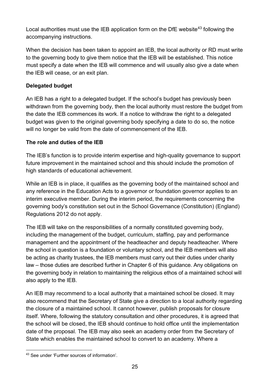Local authorities must use the IEB application form on the DfE website<sup>[43](#page-24-0)</sup> following the accompanying instructions.

When the decision has been taken to appoint an IEB, the local authority or RD must write to the governing body to give them notice that the IEB will be established. This notice must specify a date when the IEB will commence and will usually also give a date when the IEB will cease, or an exit plan.

#### **Delegated budget**

An IEB has a right to a delegated budget. If the school's budget has previously been withdrawn from the governing body, then the local authority must restore the budget from the date the IEB commences its work. If a notice to withdraw the right to a delegated budget was given to the original governing body specifying a date to do so, the notice will no longer be valid from the date of commencement of the IEB.

#### **The role and duties of the IEB**

The IEB's function is to provide interim expertise and high-quality governance to support future improvement in the maintained school and this should include the promotion of high standards of educational achievement.

While an IEB is in place, it qualifies as the governing body of the maintained school and any reference in the Education Acts to a governor or foundation governor applies to an interim executive member. During the interim period, the requirements concerning the governing body's constitution set out in the School Governance (Constitution) (England) Regulations 2012 do not apply.

The IEB will take on the responsibilities of a normally constituted governing body, including the management of the budget, curriculum, staffing, pay and performance management and the appointment of the headteacher and deputy headteacher. Where the school in question is a foundation or voluntary school, and the IEB members will also be acting as charity trustees, the IEB members must carry out their duties under charity law – those duties are described further in Chapter 6 of this guidance. Any obligations on the governing body in relation to maintaining the religious ethos of a maintained school will also apply to the IEB.

An IEB may recommend to a local authority that a maintained school be closed. It may also recommend that the Secretary of State give a direction to a local authority regarding the closure of a maintained school. It cannot however, publish proposals for closure itself. Where, following the statutory consultation and other procedures, it is agreed that the school will be closed, the IEB should continue to hold office until the implementation date of the proposal. The IEB may also seek an academy order from the Secretary of State which enables the maintained school to convert to an academy. Where a

<span id="page-24-0"></span><sup>43</sup> See under 'Further sources of information'.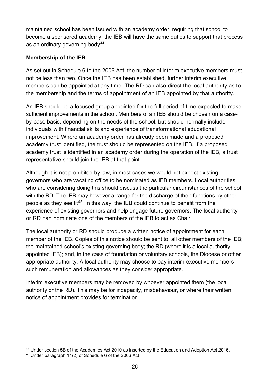maintained school has been issued with an academy order, requiring that school to become a sponsored academy, the IEB will have the same duties to support that process as an ordinary governing body<sup>44</sup>.

#### **Membership of the IEB**

As set out in Schedule 6 to the 2006 Act, the number of interim executive members must not be less than two. Once the IEB has been established, further interim executive members can be appointed at any time. The RD can also direct the local authority as to the membership and the terms of appointment of an IEB appointed by that authority.

An IEB should be a focused group appointed for the full period of time expected to make sufficient improvements in the school. Members of an IEB should be chosen on a caseby-case basis, depending on the needs of the school, but should normally include individuals with financial skills and experience of transformational educational improvement. Where an academy order has already been made and a proposed academy trust identified, the trust should be represented on the IEB. If a proposed academy trust is identified in an academy order during the operation of the IEB, a trust representative should join the IEB at that point.

Although it is not prohibited by law, in most cases we would not expect existing governors who are vacating office to be nominated as IEB members. Local authorities who are considering doing this should discuss the particular circumstances of the school with the RD. The IEB may however arrange for the discharge of their functions by other people as they see fit [45.](#page-25-1) In this way, the IEB could continue to benefit from the experience of existing governors and help engage future governors. The local authority or RD can nominate one of the members of the IEB to act as Chair.

The local authority or RD should produce a written notice of appointment for each member of the IEB. Copies of this notice should be sent to: all other members of the IEB; the maintained school's existing governing body; the RD (where it is a local authority appointed IEB); and, in the case of foundation or voluntary schools, the Diocese or other appropriate authority. A local authority may choose to pay interim executive members such remuneration and allowances as they consider appropriate.

Interim executive members may be removed by whoever appointed them (the local authority or the RD). This may be for incapacity, misbehaviour, or where their written notice of appointment provides for termination.

<span id="page-25-0"></span><sup>44</sup> Under section 5B of the Academies Act 2010 as inserted by the Education and Adoption Act 2016.

<span id="page-25-1"></span><sup>45</sup> Under paragraph 11(2) of Schedule 6 of the 2006 Act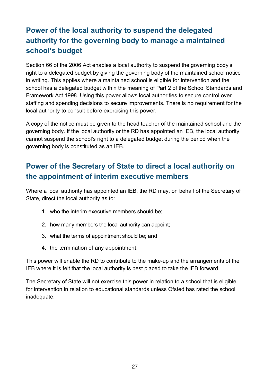# <span id="page-26-0"></span>**Power of the local authority to suspend the delegated authority for the governing body to manage a maintained school's budget**

Section 66 of the 2006 Act enables a local authority to suspend the governing body's right to a delegated budget by giving the governing body of the maintained school notice in writing. This applies where a maintained school is eligible for intervention and the school has a delegated budget within the meaning of Part 2 of the School Standards and Framework Act 1998. Using this power allows local authorities to secure control over staffing and spending decisions to secure improvements. There is no requirement for the local authority to consult before exercising this power.

A copy of the notice must be given to the head teacher of the maintained school and the governing body. If the local authority or the RD has appointed an IEB, the local authority cannot suspend the school's right to a delegated budget during the period when the governing body is constituted as an IEB.

# <span id="page-26-1"></span>**Power of the Secretary of State to direct a local authority on the appointment of interim executive members**

Where a local authority has appointed an IEB, the RD may, on behalf of the Secretary of State, direct the local authority as to:

- 1. who the interim executive members should be;
- 2. how many members the local authority can appoint;
- 3. what the terms of appointment should be; and
- 4. the termination of any appointment.

This power will enable the RD to contribute to the make-up and the arrangements of the IEB where it is felt that the local authority is best placed to take the IEB forward.

The Secretary of State will not exercise this power in relation to a school that is eligible for intervention in relation to educational standards unless Ofsted has rated the school inadequate.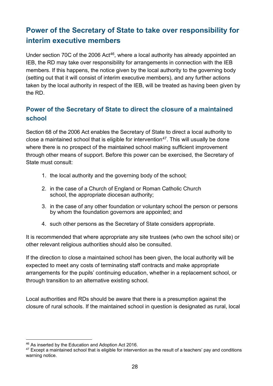# <span id="page-27-0"></span>**Power of the Secretary of State to take over responsibility for interim executive members**

Under section 70C of the 2006 Act<sup>[46](#page-27-2)</sup>, where a local authority has already appointed an IEB, the RD may take over responsibility for arrangements in connection with the IEB members. If this happens, the notice given by the local authority to the governing body (setting out that it will consist of interim executive members), and any further actions taken by the local authority in respect of the IEB, will be treated as having been given by the RD.

#### <span id="page-27-1"></span>**Power of the Secretary of State to direct the closure of a maintained school**

Section 68 of the 2006 Act enables the Secretary of State to direct a local authority to close a maintained school that is eligible for intervention $47$ . This will usually be done where there is no prospect of the maintained school making sufficient improvement through other means of support. Before this power can be exercised, the Secretary of State must consult:

- 1. the local authority and the governing body of the school;
- 2. in the case of a Church of England or Roman Catholic Church school, the appropriate diocesan authority;
- 3. in the case of any other foundation or voluntary school the person or persons by whom the foundation governors are appointed; and
- 4. such other persons as the Secretary of State considers appropriate.

It is recommended that where appropriate any site trustees (who own the school site) or other relevant religious authorities should also be consulted.

If the direction to close a maintained school has been given, the local authority will be expected to meet any costs of terminating staff contracts and make appropriate arrangements for the pupils' continuing education, whether in a replacement school, or through transition to an alternative existing school.

Local authorities and RDs should be aware that there is a presumption against the closure of rural schools. If the maintained school in question is designated as rural, local

<span id="page-27-2"></span><sup>46</sup> As inserted by the Education and Adoption Act 2016.

<span id="page-27-3"></span><sup>&</sup>lt;sup>47</sup> Except a maintained school that is eligible for intervention as the result of a teachers' pay and conditions warning notice.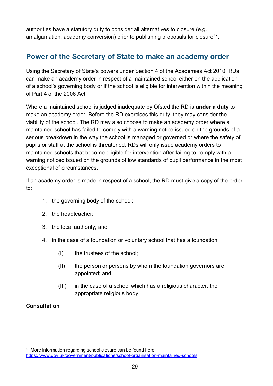<span id="page-28-0"></span>authorities have a statutory duty to consider all alternatives to closure (e.g. amalgamation, academy conversion) prior to publishing proposals for closure<sup>48</sup>.

### **Power of the Secretary of State to make an academy order**

Using the Secretary of State's powers under Section 4 of the Academies Act 2010, RDs can make an academy order in respect of a maintained school either on the application of a school's governing body or if the school is eligible for intervention within the meaning of Part 4 of the 2006 Act.

Where a maintained school is judged inadequate by Ofsted the RD is **under a duty** to make an academy order. Before the RD exercises this duty, they may consider the viability of the school. The RD may also choose to make an academy order where a maintained school has failed to comply with a warning notice issued on the grounds of a serious breakdown in the way the school is managed or governed or where the safety of pupils or staff at the school is threatened. RDs will only issue academy orders to maintained schools that become eligible for intervention after failing to comply with a warning noticed issued on the grounds of low standards of pupil performance in the most exceptional of circumstances.

If an academy order is made in respect of a school, the RD must give a copy of the order to:

- 1. the governing body of the school;
- 2. the headteacher;
- 3. the local authority; and
- 4. in the case of a foundation or voluntary school that has a foundation:
	- (I) the trustees of the school;
	- (II) the person or persons by whom the foundation governors are appointed; and,
	- (III) in the case of a school which has a religious character, the appropriate religious body.

#### **Consultation**

<span id="page-28-1"></span><sup>48</sup> More information regarding school closure can be found here: <https://www.gov.uk/government/publications/school-organisation-maintained-schools>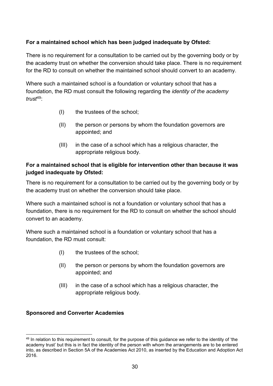#### **For a maintained school which has been judged inadequate by Ofsted:**

There is no requirement for a consultation to be carried out by the governing body or by the academy trust on whether the conversion should take place. There is no requirement for the RD to consult on whether the maintained school should convert to an academy.

Where such a maintained school is a foundation or voluntary school that has a foundation, the RD must consult the following regarding the *identity of the academy trust*[49](#page-29-0):

- (I) the trustees of the school;
- (II) the person or persons by whom the foundation governors are appointed; and
- (III) in the case of a school which has a religious character, the appropriate religious body.

#### **For a maintained school that is eligible for intervention other than because it was judged inadequate by Ofsted:**

There is no requirement for a consultation to be carried out by the governing body or by the academy trust on whether the conversion should take place.

Where such a maintained school is not a foundation or voluntary school that has a foundation, there is no requirement for the RD to consult on whether the school should convert to an academy.

Where such a maintained school is a foundation or voluntary school that has a foundation, the RD must consult:

- (I) the trustees of the school;
- (II) the person or persons by whom the foundation governors are appointed; and
- (III) in the case of a school which has a religious character, the appropriate religious body.

#### **Sponsored and Converter Academies**

<span id="page-29-0"></span><sup>&</sup>lt;sup>49</sup> In relation to this requirement to consult, for the purpose of this quidance we refer to the identity of 'the academy trust' but this is in fact the identity of the person with whom the arrangements are to be entered into, as described in Section 5A of the Academies Act 2010, as inserted by the Education and Adoption Act 2016.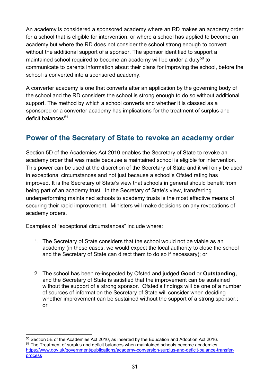An academy is considered a sponsored academy where an RD makes an academy order for a school that is eligible for intervention, or where a school has applied to become an academy but where the RD does not consider the school strong enough to convert without the additional support of a sponsor. The sponsor identified to support a maintained school required to become an academy will be under a duty<sup>[50](#page-30-1)</sup> to communicate to parents information about their plans for improving the school, before the school is converted into a sponsored academy.

A converter academy is one that converts after an application by the governing body of the school and the RD considers the school is strong enough to do so without additional support. The method by which a school converts and whether it is classed as a sponsored or a converter academy has implications for the treatment of surplus and deficit balances<sup>51</sup>.

### <span id="page-30-0"></span>**Power of the Secretary of State to revoke an academy order**

Section 5D of the Academies Act 2010 enables the Secretary of State to revoke an academy order that was made because a maintained school is eligible for intervention. This power can be used at the discretion of the Secretary of State and it will only be used in exceptional circumstances and not just because a school's Ofsted rating has improved. It is the Secretary of State's view that schools in general should benefit from being part of an academy trust. In the Secretary of State's view, transferring underperforming maintained schools to academy trusts is the most effective means of securing their rapid improvement. Ministers will make decisions on any revocations of academy orders.

Examples of "exceptional circumstances" include where:

- 1. The Secretary of State considers that the school would not be viable as an academy (in these cases, we would expect the local authority to close the school and the Secretary of State can direct them to do so if necessary); or
- 2. The school has been re-inspected by Ofsted and judged **Good** or **Outstanding,**  and the Secretary of State is satisfied that the improvement can be sustained without the support of a strong sponsor. Ofsted's findings will be one of a number of sources of information the Secretary of State will consider when deciding whether improvement can be sustained without the support of a strong sponsor.; or

<span id="page-30-2"></span><span id="page-30-1"></span> $50$  Section 5E of the Academies Act 2010, as inserted by the Education and Adoption Act 2016. <sup>51</sup> The Treatment of surplus and deficit balances when maintained schools become academies: [https://www.gov.uk/government/publications/academy-conversion-surplus-and-deficit-balance-transfer](https://www.gov.uk/government/publications/academy-conversion-surplus-and-deficit-balance-transfer-process)[process](https://www.gov.uk/government/publications/academy-conversion-surplus-and-deficit-balance-transfer-process)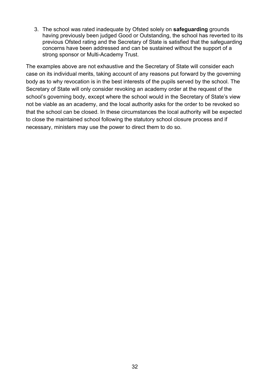3. The school was rated inadequate by Ofsted solely on **safeguarding** grounds having previously been judged Good or Outstanding, the school has reverted to its previous Ofsted rating and the Secretary of State is satisfied that the safeguarding concerns have been addressed and can be sustained without the support of a strong sponsor or Multi-Academy Trust.

The examples above are not exhaustive and the Secretary of State will consider each case on its individual merits, taking account of any reasons put forward by the governing body as to why revocation is in the best interests of the pupils served by the school. The Secretary of State will only consider revoking an academy order at the request of the school's governing body, except where the school would in the Secretary of State's view not be viable as an academy, and the local authority asks for the order to be revoked so that the school can be closed. In these circumstances the local authority will be expected to close the maintained school following the statutory school closure process and if necessary, ministers may use the power to direct them to do so.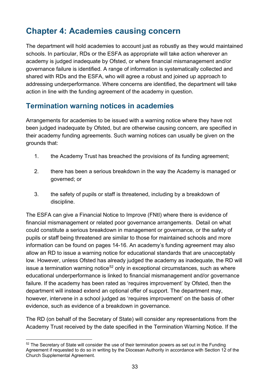# <span id="page-32-0"></span>**Chapter 4: Academies causing concern**

The department will hold academies to account just as robustly as they would maintained schools. In particular, RDs or the ESFA as appropriate will take action wherever an academy is judged inadequate by Ofsted, or where financial mismanagement and/or governance failure is identified. A range of information is systematically collected and shared with RDs and the ESFA, who will agree a robust and joined up approach to addressing underperformance. Where concerns are identified, the department will take action in line with the funding agreement of the academy in question.

### **Termination warning notices in academies**

Arrangements for academies to be issued with a warning notice where they have not been judged inadequate by Ofsted, but are otherwise causing concern, are specified in their academy funding agreements. Such warning notices can usually be given on the grounds that:

- 1. the Academy Trust has breached the provisions of its funding agreement;
- 2. there has been a serious breakdown in the way the Academy is managed or governed; or
- 3. the safety of pupils or staff is threatened, including by a breakdown of discipline.

The ESFA can give a Financial Notice to Improve (FNtI) where there is evidence of financial mismanagement or related poor governance arrangements. Detail on what could constitute a serious breakdown in management or governance, or the safety of pupils or staff being threatened are similar to those for maintained schools and more information can be found on pages 14-16. An academy's funding agreement may also allow an RD to issue a warning notice for educational standards that are unacceptably low. However, unless Ofsted has already judged the academy as inadequate, the RD will issue a termination warning notice<sup>[52](#page-32-1)</sup> only in exceptional circumstances, such as where educational underperformance is linked to financial mismanagement and/or governance failure. If the academy has been rated as 'requires improvement' by Ofsted, then the department will instead extend an optional offer of support. The department may, however, intervene in a school judged as 'requires improvement' on the basis of other evidence, such as evidence of a breakdown in governance.

The RD (on behalf of the Secretary of State) will consider any representations from the Academy Trust received by the date specified in the Termination Warning Notice. If the

<span id="page-32-1"></span><sup>&</sup>lt;sup>52</sup> The Secretary of State will consider the use of their termination powers as set out in the Funding Agreement if requested to do so in writing by the Diocesan Authority in accordance with Section 12 of the Church Supplemental Agreement.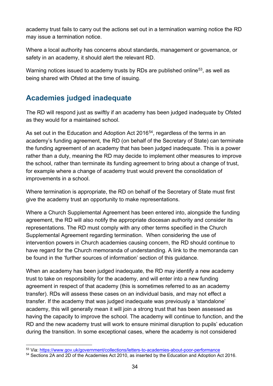academy trust fails to carry out the actions set out in a termination warning notice the RD may issue a termination notice.

Where a local authority has concerns about standards, management or governance, or safety in an academy, it should alert the relevant RD.

Warning notices issued to academy trusts by RDs are published online<sup>53</sup>, as well as being shared with Ofsted at the time of issuing.

# <span id="page-33-0"></span>**Academies judged inadequate**

The RD will respond just as swiftly if an academy has been judged inadequate by Ofsted as they would for a maintained school.

As set out in the Education and Adoption Act 2016<sup>54</sup>, regardless of the terms in an academy's funding agreement, the RD (on behalf of the Secretary of State) can terminate the funding agreement of an academy that has been judged inadequate. This is a power rather than a duty, meaning the RD may decide to implement other measures to improve the school, rather than terminate its funding agreement to bring about a change of trust, for example where a change of academy trust would prevent the consolidation of improvements in a school.

Where termination is appropriate, the RD on behalf of the Secretary of State must first give the academy trust an opportunity to make representations.

Where a Church Supplemental Agreement has been entered into, alongside the funding agreement, the RD will also notify the appropriate diocesan authority and consider its representations. The RD must comply with any other terms specified in the Church Supplemental Agreement regarding termination. When considering the use of intervention powers in Church academies causing concern, the RD should continue to have regard for the Church memoranda of understanding. A link to the memoranda can be found in the 'further sources of information' section of this guidance.

When an academy has been judged inadequate, the RD may identify a new academy trust to take on responsibility for the academy, and will enter into a new funding agreement in respect of that academy (this is sometimes referred to as an academy transfer). RDs will assess these cases on an individual basis, and may not effect a transfer. If the academy that was judged inadequate was previously a 'standalone' academy, this will generally mean it will join a strong trust that has been assessed as having the capacity to improve the school. The academy will continue to function, and the RD and the new academy trust will work to ensure minimal disruption to pupils' education during the transition. In some exceptional cases, where the academy is not considered

<span id="page-33-1"></span><sup>53</sup> Via: https://www.gov.uk/government/collections/letters-to-academies-about-poor-performance<br>54 Sections 2A and 2D of the Academies Act 2010, as inserted by the Education and Adoption Act 2016.

<span id="page-33-2"></span>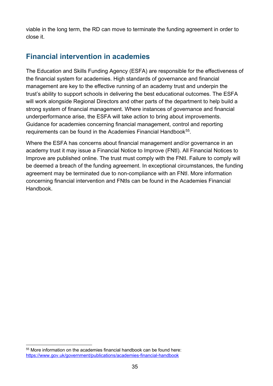viable in the long term, the RD can move to terminate the funding agreement in order to close it.

# <span id="page-34-0"></span>**Financial intervention in academies**

The Education and Skills Funding Agency (ESFA) are responsible for the effectiveness of the financial system for academies. High standards of governance and financial management are key to the effective running of an academy trust and underpin the trust's ability to support schools in delivering the best educational outcomes. The ESFA will work alongside Regional Directors and other parts of the department to help build a strong system of financial management. Where instances of governance and financial underperformance arise, the ESFA will take action to bring about improvements. Guidance for academies concerning financial management, control and reporting requirements can be found in the Academies Financial Handbook<sup>55</sup>.

Where the ESFA has concerns about financial management and/or governance in an academy trust it may issue a Financial Notice to Improve (FNtI). All Financial Notices to Improve are published online. The trust must comply with the FNtI. Failure to comply will be deemed a breach of the funding agreement. In exceptional circumstances, the funding agreement may be terminated due to non-compliance with an FNtI. More information concerning financial intervention and FNtIs can be found in the Academies Financial Handbook.

<span id="page-34-1"></span><sup>55</sup> More information on the academies financial handbook can be found here: <https://www.gov.uk/government/publications/academies-financial-handbook>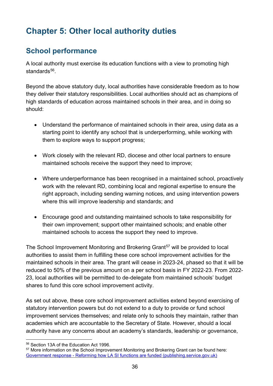# <span id="page-35-0"></span>**Chapter 5: Other local authority duties**

# <span id="page-35-1"></span>**School performance**

A local authority must exercise its education functions with a view to promoting high standards<sup>56</sup>

Beyond the above statutory duty, local authorities have considerable freedom as to how they deliver their statutory responsibilities. Local authorities should act as champions of high standards of education across maintained schools in their area, and in doing so should:

- Understand the performance of maintained schools in their area, using data as a starting point to identify any school that is underperforming, while working with them to explore ways to support progress;
- Work closely with the relevant RD, diocese and other local partners to ensure maintained schools receive the support they need to improve;
- Where underperformance has been recognised in a maintained school, proactively work with the relevant RD, combining local and regional expertise to ensure the right approach, including sending warning notices, and using intervention powers where this will improve leadership and standards; and
- Encourage good and outstanding maintained schools to take responsibility for their own improvement; support other maintained schools; and enable other maintained schools to access the support they need to improve.

The School Improvement Monitoring and Brokering Grant<sup>[57](#page-35-3)</sup> will be provided to local authorities to assist them in fulfilling these core school improvement activities for the maintained schools in their area. The grant will cease in 2023-24, phased so that it will be reduced to 50% of the previous amount on a per school basis in FY 2022-23. From 2022- 23, local authorities will be permitted to de-delegate from maintained schools' budget shares to fund this core school improvement activity.

As set out above, these core school improvement activities extend beyond exercising of statutory intervention powers but do not extend to a duty to provide or fund school improvement services themselves; and relate only to schools they maintain, rather than academies which are accountable to the Secretary of State. However, should a local authority have any concerns about an academy's standards, leadership or governance,

<span id="page-35-2"></span><sup>56</sup> Section 13A of the Education Act 1996.

<span id="page-35-3"></span><sup>57</sup> More information on the School Improvement Monitoring and Brokering Grant can be found here: [Government response - Reforming how LA SI functions are funded \(publishing.service.gov.uk\)](https://assets.publishing.service.gov.uk/government/uploads/system/uploads/attachment_data/file/1045633/Government_response_-_Reforming_how_LA_SI_functions_are_funded.pdf)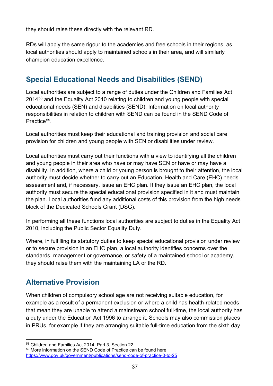they should raise these directly with the relevant RD.

RDs will apply the same rigour to the academies and free schools in their regions, as local authorities should apply to maintained schools in their area, and will similarly champion education excellence.

# <span id="page-36-0"></span>**Special Educational Needs and Disabilities (SEND)**

Local authorities are subject to a range of duties under the Children and Families Act 2014[58](#page-36-2) and the Equality Act 2010 relating to children and young people with special educational needs (SEN) and disabilities (SEND). Information on local authority responsibilities in relation to children with SEND can be found in the SEND Code of Practice<sup>[59](#page-36-3)</sup>

Local authorities must keep their educational and training provision and social care provision for children and young people with SEN or disabilities under review.

Local authorities must carry out their functions with a view to identifying all the children and young people in their area who have or may have SEN or have or may have a disability. In addition, where a child or young person is brought to their attention, the local authority must decide whether to carry out an Education, Health and Care (EHC) needs assessment and, if necessary, issue an EHC plan. If they issue an EHC plan, the local authority must secure the special educational provision specified in it and must maintain the plan. Local authorities fund any additional costs of this provision from the high needs block of the Dedicated Schools Grant (DSG).

In performing all these functions local authorities are subject to duties in the Equality Act 2010, including the Public Sector Equality Duty.

Where, in fulfilling its statutory duties to keep special educational provision under review or to secure provision in an EHC plan, a local authority identifies concerns over the standards, management or governance, or safety of a maintained school or academy, they should raise them with the maintaining LA or the RD.

# <span id="page-36-1"></span>**Alternative Provision**

When children of compulsory school age are not receiving suitable education, for example as a result of a permanent exclusion or where a child has health-related needs that mean they are unable to attend a mainstream school full-time, the local authority has a duty under the Education Act 1996 to arrange it. Schools may also commission places in PRUs, for example if they are arranging suitable full-time education from the sixth day

<span id="page-36-3"></span><span id="page-36-2"></span> $58$  Children and Families Act 2014, Part 3, Section 22.<br> $59$  More information on the SEND Code of Practice can be found here: <https://www.gov.uk/government/publications/send-code-of-practice-0-to-25>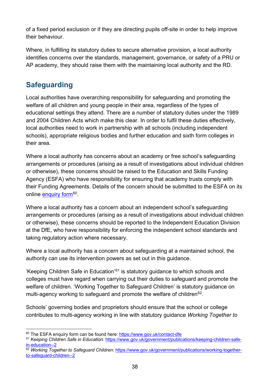of a fixed period exclusion or if they are directing pupils off-site in order to help improve their behaviour.

Where, in fulfilling its statutory duties to secure alternative provision, a local authority identifies concerns over the standards, management, governance, or safety of a PRU or AP academy, they should raise them with the maintaining local authority and the RD.

# <span id="page-37-0"></span>**Safeguarding**

Local authorities have overarching responsibility for safeguarding and promoting the welfare of all children and young people in their area, regardless of the types of educational settings they attend. There are a number of statutory duties under the 1989 and 2004 Children Acts which make this clear. In order to fulfil these duties effectively, local authorities need to work in partnership with all schools (including independent schools), appropriate religious bodies and further education and sixth form colleges in their area.

Where a local authority has concerns about an academy or free school's safeguarding arrangements or procedures (arising as a result of investigations about individual children or otherwise), these concerns should be raised to the Education and Skills Funding Agency (ESFA) who have responsibility for ensuring that academy trusts comply with their Funding Agreements. Details of the concern should be submitted to the ESFA on its online [enquiry form](https://form.education.gov.uk/service/Education_and_Skills_Funding_Agency__ESFA__enquiry_form)<sup>[60](#page-37-1)</sup>.

Where a local authority has a concern about an independent school's safeguarding arrangements or procedures (arising as a result of investigations about individual children or otherwise), these concerns should be reported to the Independent Education Division at the DfE, who have responsibility for enforcing the independent school standards and taking regulatory action where necessary.

Where a local authority has a concern about safeguarding at a maintained school, the authority can use its intervention powers as set out in this guidance.

'Keeping Children Safe in Education'<sup>[61](#page-37-2)</sup> is statutory guidance to which schools and colleges must have regard when carrying out their duties to safeguard and promote the welfare of children. 'Working Together to Safeguard Children' is statutory guidance on multi-agency working to safeguard and promote the welfare of children $62$ .

Schools' governing bodies and proprietors should ensure that the school or college contributes to multi-agency working in line with statutory guidance *Working Together to* 

<span id="page-37-2"></span><span id="page-37-1"></span><sup>&</sup>lt;sup>60</sup> The ESFA enquiry form can be found here: https://www.gov.uk/contact-dfe<br><sup>61</sup> *Keeping Children Safe in Education:* [https://www.gov.uk/government/publications/keeping-children-safe](https://www.gov.uk/government/publications/keeping-children-safe-in-education--2)[in-education--2](https://www.gov.uk/government/publications/keeping-children-safe-in-education--2)

<span id="page-37-3"></span><sup>62</sup> *Working Together to Safeguard Children*: [https://www.gov.uk/government/publications/working-together](https://www.gov.uk/government/publications/working-together-to-safeguard-children--2)[to-safeguard-children--2](https://www.gov.uk/government/publications/working-together-to-safeguard-children--2)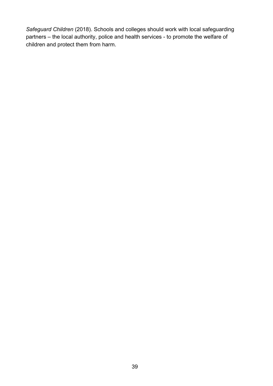*Safeguard Children* (2018). Schools and colleges should work with local safeguarding partners – the local authority, police and health services - to promote the welfare of children and protect them from harm.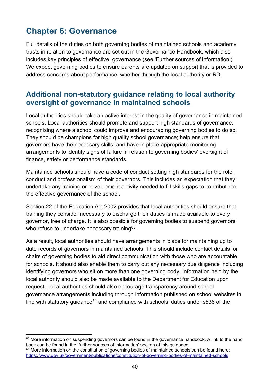# <span id="page-39-0"></span>**Chapter 6: Governance**

Full details of the duties on both governing bodies of maintained schools and academy trusts in relation to governance are set out in the Governance Handbook, which also includes key principles of effective governance (see 'Further sources of information'). We expect governing bodies to ensure parents are updated on support that is provided to address concerns about performance, whether through the local authority or RD.

### <span id="page-39-1"></span>**Additional non-statutory guidance relating to local authority oversight of governance in maintained schools**

Local authorities should take an active interest in the quality of governance in maintained schools. Local authorities should promote and support high standards of governance, recognising where a school could improve and encouraging governing bodies to do so. They should be champions for high quality school governance; help ensure that governors have the necessary skills; and have in place appropriate monitoring arrangements to identify signs of failure in relation to governing bodies' oversight of finance, safety or performance standards.

Maintained schools should have a code of conduct setting high standards for the role, conduct and professionalism of their governors. This includes an expectation that they undertake any training or development activity needed to fill skills gaps to contribute to the effective governance of the school.

Section 22 of the Education Act 2002 provides that local authorities should ensure that training they consider necessary to discharge their duties is made available to every governor, free of charge. It is also possible for governing bodies to suspend governors who refuse to undertake necessary training<sup>63</sup>.

As a result, local authorities should have arrangements in place for maintaining up to date records of governors in maintained schools. This should include contact details for chairs of governing bodies to aid direct communication with those who are accountable for schools. It should also enable them to carry out any necessary due diligence including identifying governors who sit on more than one governing body. Information held by the local authority should also be made available to the Department for Education upon request. Local authorities should also encourage transparency around school governance arrangements including through information published on school websites in line with statutory guidance $64$  and compliance with schools' duties under s538 of the

<span id="page-39-2"></span> $63$  More information on suspending governors can be found in the governance handbook. A link to the hand book can be found in the 'further sources of information' section of this guidance.

<span id="page-39-3"></span><sup>&</sup>lt;sup>64</sup> More information on the constitution of governing bodies of maintained schools can be found here: <https://www.gov.uk/government/publications/constitution-of-governing-bodies-of-maintained-schools>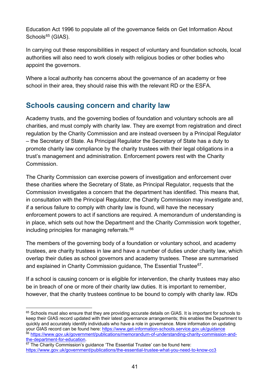Education Act 1996 to populate all of the governance fields on Get Information About Schools $65$  (GIAS).

In carrying out these responsibilities in respect of voluntary and foundation schools, local authorities will also need to work closely with religious bodies or other bodies who appoint the governors.

Where a local authority has concerns about the governance of an academy or free school in their area, they should raise this with the relevant RD or the ESFA.

# <span id="page-40-0"></span>**Schools causing concern and charity law**

Academy trusts, and the governing bodies of foundation and voluntary schools are all charities, and must comply with charity law. They are exempt from registration and direct regulation by the Charity Commission and are instead overseen by a Principal Regulator – the Secretary of State. As Principal Regulator the Secretary of State has a duty to promote charity law compliance by the charity trustees with their legal obligations in a trust's management and administration. Enforcement powers rest with the Charity **Commission** 

The Charity Commission can exercise powers of investigation and enforcement over these charities where the Secretary of State, as Principal Regulator, requests that the Commission investigates a concern that the department has identified. This means that, in consultation with the Principal Regulator, the Charity Commission may investigate and, if a serious failure to comply with charity law is found, will have the necessary enforcement powers to act if sanctions are required. A memorandum of understanding is in place, which sets out how the Department and the Charity Commission work together, including principles for managing referrals.<sup>66</sup>

The members of the governing body of a foundation or voluntary school, and academy trustees, are charity trustees in law and have a number of duties under charity law, which overlap their duties as school governors and academy trustees. These are summarised and explained in Charity Commission guidance, The Essential Trustee<sup>67</sup>.

If a school is causing concern or is eligible for intervention, the charity trustees may also be in breach of one or more of their charity law duties. It is important to remember, however, that the charity trustees continue to be bound to comply with charity law. RDs

<span id="page-40-1"></span><sup>&</sup>lt;sup>65</sup> Schools must also ensure that they are providing accurate details on GIAS. It is important for schools to keep their GIAS record updated with their latest governance arrangements; this enables the Department to quickly and accurately identify individuals who have a role in governance. More information on updating your GIAS record can be found here:<https://www.get-information-schools.service.gov.uk/guidance> <sup>66</sup> https://www.gov.uk/government/publications/memorandum-of-understanding-charity-commission-and-<br>the-department-for-education.

<span id="page-40-3"></span><span id="page-40-2"></span> $67$  The Charity Commission's guidance 'The Essential Trustee' can be found here: <https://www.gov.uk/government/publications/the-essential-trustee-what-you-need-to-know-cc3>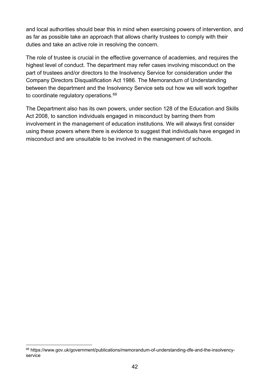and local authorities should bear this in mind when exercising powers of intervention, and as far as possible take an approach that allows charity trustees to comply with their duties and take an active role in resolving the concern.

The role of trustee is crucial in the effective governance of academies, and requires the highest level of conduct. The department may refer cases involving misconduct on the part of trustees and/or directors to the Insolvency Service for consideration under the Company Directors Disqualification Act 1986. The Memorandum of Understanding between the department and the Insolvency Service sets out how we will work together to coordinate regulatory operations.<sup>[68](#page-41-0)</sup>

The Department also has its own powers, under section 128 of the Education and Skills Act 2008, to sanction individuals engaged in misconduct by barring them from involvement in the management of education institutions. We will always first consider using these powers where there is evidence to suggest that individuals have engaged in misconduct and are unsuitable to be involved in the management of schools.

<span id="page-41-0"></span><sup>68</sup> https://www.gov.uk/government/publications/memorandum-of-understanding-dfe-and-the-insolvencyservice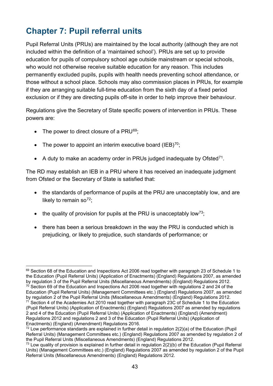# <span id="page-42-0"></span>**Chapter 7: Pupil referral units**

Pupil Referral Units (PRUs) are maintained by the local authority (although they are not included within the definition of a 'maintained school'). PRUs are set up to provide education for pupils of compulsory school age outside mainstream or special schools, who would not otherwise receive suitable education for any reason. This includes permanently excluded pupils, pupils with health needs preventing school attendance, or those without a school place. Schools may also commission places in PRUs, for example if they are arranging suitable full-time education from the sixth day of a fixed period exclusion or if they are directing pupils off-site in order to help improve their behaviour.

Regulations give the Secretary of State specific powers of intervention in PRUs. These powers are:

- The power to direct closure of a PRU $^{69}$ ;
- The power to appoint an interim executive board  $(IEB)^{70}$ :
- A duty to make an academy order in PRUs judged inadequate by Ofsted<sup>[71](#page-42-3)</sup>.

The RD may establish an IEB in a PRU where it has received an inadequate judgment from Ofsted or the Secretary of State is satisfied that:

- the standards of performance of pupils at the PRU are unacceptably low, and are likely to remain so<sup>[72](#page-42-4)</sup>;
- the quality of provision for pupils at the PRU is unacceptably low<sup>73</sup>;
- there has been a serious breakdown in the way the PRU is conducted which is prejudicing, or likely to prejudice, such standards of performance; or

<span id="page-42-2"></span><span id="page-42-1"></span> $69$  Section 68 of the Education and Inspections Act 2006 read together with paragraph 23 of Schedule 1 to the Education (Pupil Referral Units) (Application of Enactments) (England) Regulations 2007, as amended by regulation 3 of the Pupil Referral Units (Miscellaneous Amendments) (England) Regulations 2012.  $70$  Section 69 of the Education and Inspections Act 2006 read together with regulations 2 and 24 of the Education (Pupil Referral Units) (Management Committees etc.) (England) Regulations 2007, as amended by regulation 2 of the Pupil Referral Units (Miscellaneous Amendments) (England) Regulations 2012.<br><sup>71</sup> Section 4 of the Academies Act 2010 read together with paragraph 23C of Schedule 1 to the Education (Pupil Referral Units) (Application of Enactments) (England) Regulations 2007 as amended by regulations 2 and 4 of the Education (Pupil Referral Units) (Application of Enactments) (England) (Amendment) Regulations 2012 and regulations 2 and 3 of the Education (Pupil Referral Units) (Application of<br>Enactments) (England) (Amendment) Regulations 2016.

<span id="page-42-4"></span><span id="page-42-3"></span><sup>&</sup>lt;sup>72</sup> Low performance standards are explained in further detail in regulation  $2(2)(a)$  of the Education (Pupil Referral Units) (Management Committees etc.) (England) Regulations 2007 as amended by regulation 2 of the Pupil Referral Units (Miscellaneous Amendments) (England) Regulations 2012.

<span id="page-42-5"></span> $^{73}$  Low quality of provision is explained in further detail in regulation  $2(2)(b)$  of the Education (Pupil Referral Units) (Management Committees etc.) (England) Regulations 2007 as amended by regulation 2 of the Pupil Referral Units (Miscellaneous Amendments) (England) Regulations 2012.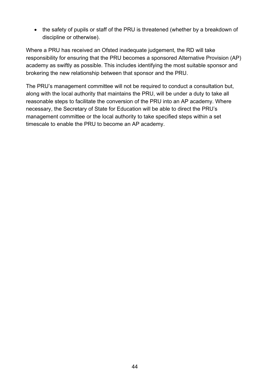• the safety of pupils or staff of the PRU is threatened (whether by a breakdown of discipline or otherwise).

Where a PRU has received an Ofsted inadequate judgement, the RD will take responsibility for ensuring that the PRU becomes a sponsored Alternative Provision (AP) academy as swiftly as possible. This includes identifying the most suitable sponsor and brokering the new relationship between that sponsor and the PRU.

The PRU's management committee will not be required to conduct a consultation but, along with the local authority that maintains the PRU, will be under a duty to take all reasonable steps to facilitate the conversion of the PRU into an AP academy. Where necessary, the Secretary of State for Education will be able to direct the PRU's management committee or the local authority to take specified steps within a set timescale to enable the PRU to become an AP academy.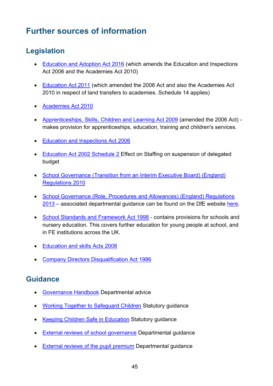# <span id="page-44-0"></span>**Further sources of information**

### <span id="page-44-1"></span>**Legislation**

- [Education and Adoption Act 2016](http://www.legislation.gov.uk/ukpga/2016/6/contents) (which amends the Education and Inspections Act 2006 and the Academies Act 2010)
- [Education Act 2011](http://www.legislation.gov.uk/ukpga/2011/21/contents) (which amended the 2006 Act and also the Academies Act 2010 in respect of land transfers to academies. Schedule 14 applies)
- [Academies Act 2010](http://www.legislation.gov.uk/ukpga/2010/32/contents)
- [Apprenticeships, Skills, Children and Learning Act 2009](http://www.legislation.gov.uk/ukpga/2009/22/contents) (amended the 2006 Act) makes provision for apprenticeships, education, training and children's services.
- [Education and Inspections Act 2006](http://www.legislation.gov.uk/ukpga/2006/40/contents)
- [Education Act 2002 Schedule 2 E](http://www.legislation.gov.uk/ukpga/2002/32/schedule/2)ffect on Staffing on suspension of delegated budget
- [School Governance \(Transition from an Interim Executive Board\) \(England\)](http://www.legislation.gov.uk/uksi/2010/1918/contents/made)  [Regulations 2010](http://www.legislation.gov.uk/uksi/2010/1918/contents/made)
- [School Governance \(Role, Procedures and Allowances\) \(England\) Regulations](http://www.legislation.gov.uk/uksi/2013/1624/contents/made)  [2013](http://www.legislation.gov.uk/uksi/2013/1624/contents/made) – associated departmental guidance can be found on the DfE website [here.](https://www.gov.uk/government/publications/school-governance-regulations-2013)
- [School Standards and Framework Act 1998](http://www.legislation.gov.uk/ukpga/1998/31/contents)  contains provisions for schools and nursery education. This covers further education for young people at school, and in FE institutions across the UK.
- [Education and skills Acts 2008](http://www.legislation.gov.uk/ukpga/2008/25/contents)
- [Company Directors Disqualification Act 1986](http://www.legislation.gov.uk/ukpga/1986/46/contents)

### <span id="page-44-2"></span>**Guidance**

- [Governance Handbook](https://www.gov.uk/government/uploads/system/uploads/attachment_data/file/481147/Governance_handbook_November_2015.pdf) Departmental advice
- [Working Together to Safeguard Children](https://www.gov.uk/government/publications/working-together-to-safeguard-children--2) Statutory guidance
- [Keeping Children Safe in Education](https://www.gov.uk/government/publications/keeping-children-safe-in-education--2) Statutory guidance
- **[External reviews of school governance](https://www.gov.uk/guidance/reviews-of-school-governance) Departmental guidance**
- [External reviews of the pupil premium](https://www.gov.uk/pupil-premium-reviews) Departmental guidance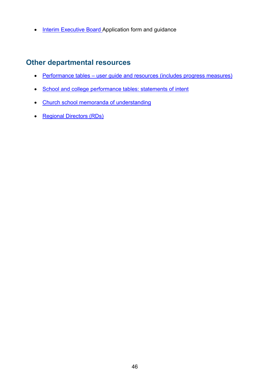• [Interim Executive Board A](https://www.gov.uk/government/publications/interim-executive-board-application-form)pplication form and guidance

### <span id="page-45-0"></span>**Other departmental resources**

- [Performance tables user guide and resources \(includes progress measures\)](http://www.education.gov.uk/schools/performance/documents.html)
- [School and college performance tables: statements of intent](https://www.gov.uk/government/publications/school-and-college-performance-tables-statements-of-intent)
- [Church school memoranda of understanding](https://www.gov.uk/government/publications/church-schools-and-academies-memoranda-of-understanding)
- [Regional Directors \(RDs\)](https://www.gov.uk/government/organisations/regional-schools-commissioners)